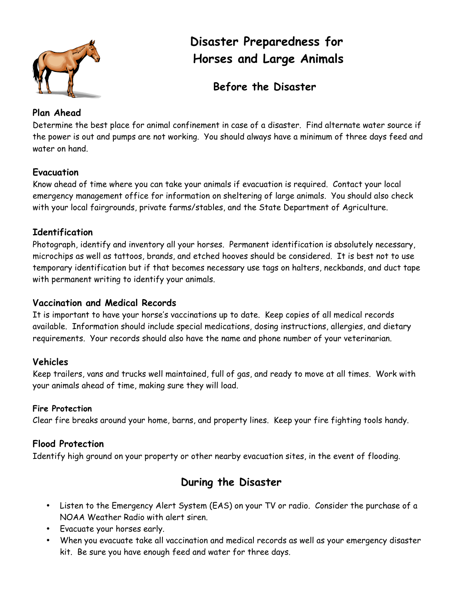

# **Disaster Preparedness for Horses and Large Animals**

# **Before the Disaster**

## **Plan Ahead**

Determine the best place for animal confinement in case of a disaster. Find alternate water source if the power is out and pumps are not working. You should always have a minimum of three days feed and water on hand.

# **Evacuation**

Know ahead of time where you can take your animals if evacuation is required. Contact your local emergency management office for information on sheltering of large animals. You should also check with your local fairgrounds, private farms/stables, and the State Department of Agriculture.

## **Identification**

Photograph, identify and inventory all your horses. Permanent identification is absolutely necessary, microchips as well as tattoos, brands, and etched hooves should be considered. It is best not to use temporary identification but if that becomes necessary use tags on halters, neckbands, and duct tape with permanent writing to identify your animals.

#### **Vaccination and Medical Records**

It is important to have your horse's vaccinations up to date. Keep copies of all medical records available. Information should include special medications, dosing instructions, allergies, and dietary requirements. Your records should also have the name and phone number of your veterinarian.

# **Vehicles**

Keep trailers, vans and trucks well maintained, full of gas, and ready to move at all times. Work with your animals ahead of time, making sure they will load.

#### **Fire Protection**

Clear fire breaks around your home, barns, and property lines. Keep your fire fighting tools handy.

# **Flood Protection**

Identify high ground on your property or other nearby evacuation sites, in the event of flooding.

# **During the Disaster**

- Listen to the Emergency Alert System (EAS) on your TV or radio. Consider the purchase of a NOAA Weather Radio with alert siren.
- Evacuate your horses early.
- When you evacuate take all vaccination and medical records as well as your emergency disaster kit. Be sure you have enough feed and water for three days.